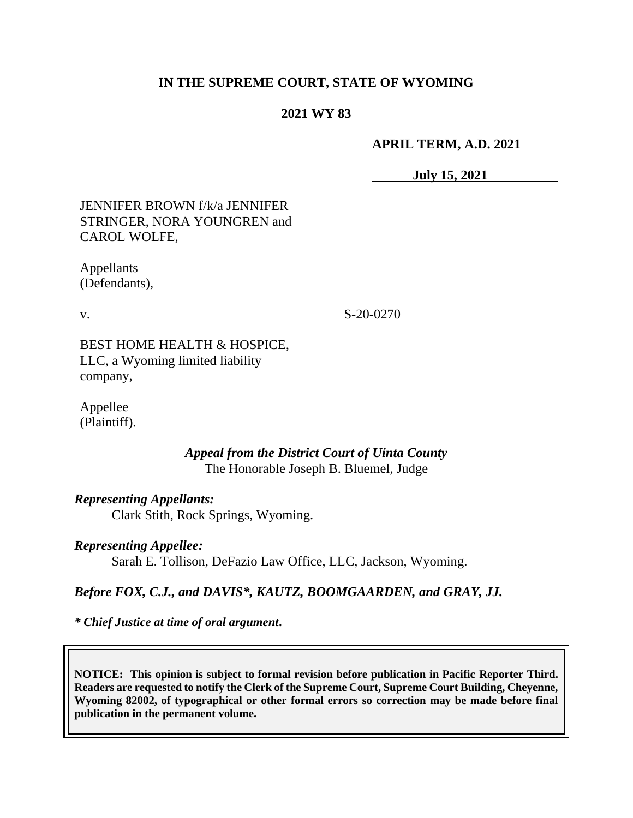## **IN THE SUPREME COURT, STATE OF WYOMING**

## **2021 WY 83**

**APRIL TERM, A.D. 2021**

**July 15, 2021**

# JENNIFER BROWN f/k/a JENNIFER STRINGER, NORA YOUNGREN and CAROL WOLFE,

Appellants (Defendants),

v.

S-20-0270

BEST HOME HEALTH & HOSPICE, LLC, a Wyoming limited liability company,

Appellee (Plaintiff).

## *Appeal from the District Court of Uinta County* The Honorable Joseph B. Bluemel, Judge

## *Representing Appellants:*

Clark Stith, Rock Springs, Wyoming.

## *Representing Appellee:*

Sarah E. Tollison, DeFazio Law Office, LLC, Jackson, Wyoming.

# *Before FOX, C.J., and DAVIS\*, KAUTZ, BOOMGAARDEN, and GRAY, JJ.*

*\* Chief Justice at time of oral argument***.**

**NOTICE: This opinion is subject to formal revision before publication in Pacific Reporter Third. Readers are requested to notify the Clerk of the Supreme Court, Supreme Court Building, Cheyenne, Wyoming 82002, of typographical or other formal errors so correction may be made before final publication in the permanent volume.**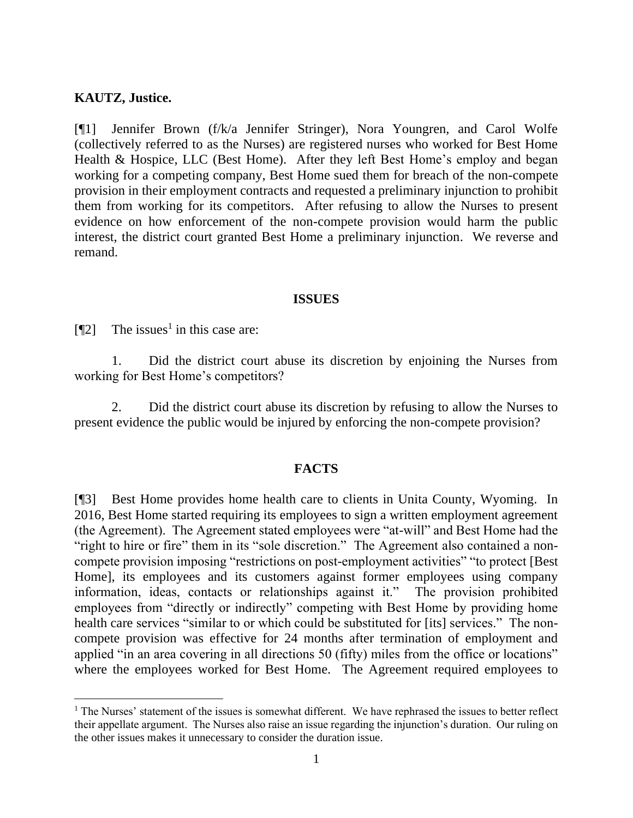### **KAUTZ, Justice.**

[¶1] Jennifer Brown (f/k/a Jennifer Stringer), Nora Youngren, and Carol Wolfe (collectively referred to as the Nurses) are registered nurses who worked for Best Home Health & Hospice, LLC (Best Home). After they left Best Home's employ and began working for a competing company, Best Home sued them for breach of the non-compete provision in their employment contracts and requested a preliminary injunction to prohibit them from working for its competitors. After refusing to allow the Nurses to present evidence on how enforcement of the non-compete provision would harm the public interest, the district court granted Best Home a preliminary injunction. We reverse and remand.

#### **ISSUES**

[ $[$ [2] The issues<sup>1</sup> in this case are:

1. Did the district court abuse its discretion by enjoining the Nurses from working for Best Home's competitors?

2. Did the district court abuse its discretion by refusing to allow the Nurses to present evidence the public would be injured by enforcing the non-compete provision?

#### **FACTS**

[¶3] Best Home provides home health care to clients in Unita County, Wyoming. In 2016, Best Home started requiring its employees to sign a written employment agreement (the Agreement). The Agreement stated employees were "at-will" and Best Home had the "right to hire or fire" them in its "sole discretion." The Agreement also contained a noncompete provision imposing "restrictions on post-employment activities" "to protect [Best Home], its employees and its customers against former employees using company information, ideas, contacts or relationships against it." The provision prohibited employees from "directly or indirectly" competing with Best Home by providing home health care services "similar to or which could be substituted for [its] services." The noncompete provision was effective for 24 months after termination of employment and applied "in an area covering in all directions 50 (fifty) miles from the office or locations" where the employees worked for Best Home. The Agreement required employees to

<sup>&</sup>lt;sup>1</sup> The Nurses' statement of the issues is somewhat different. We have rephrased the issues to better reflect their appellate argument. The Nurses also raise an issue regarding the injunction's duration. Our ruling on the other issues makes it unnecessary to consider the duration issue.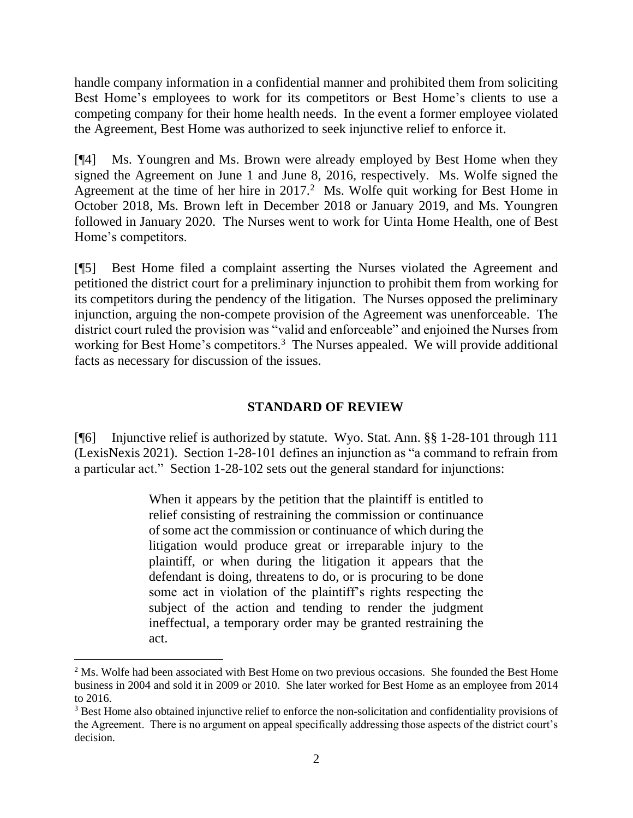handle company information in a confidential manner and prohibited them from soliciting Best Home's employees to work for its competitors or Best Home's clients to use a competing company for their home health needs. In the event a former employee violated the Agreement, Best Home was authorized to seek injunctive relief to enforce it.

[¶4] Ms. Youngren and Ms. Brown were already employed by Best Home when they signed the Agreement on June 1 and June 8, 2016, respectively. Ms. Wolfe signed the Agreement at the time of her hire in  $2017<sup>2</sup>$  Ms. Wolfe quit working for Best Home in October 2018, Ms. Brown left in December 2018 or January 2019, and Ms. Youngren followed in January 2020. The Nurses went to work for Uinta Home Health, one of Best Home's competitors.

[¶5] Best Home filed a complaint asserting the Nurses violated the Agreement and petitioned the district court for a preliminary injunction to prohibit them from working for its competitors during the pendency of the litigation. The Nurses opposed the preliminary injunction, arguing the non-compete provision of the Agreement was unenforceable. The district court ruled the provision was "valid and enforceable" and enjoined the Nurses from working for Best Home's competitors.<sup>3</sup> The Nurses appealed. We will provide additional facts as necessary for discussion of the issues.

# **STANDARD OF REVIEW**

[¶6] Injunctive relief is authorized by statute. Wyo. Stat. Ann. §§ 1-28-101 through 111 (LexisNexis 2021). Section 1-28-101 defines an injunction as "a command to refrain from a particular act." Section 1-28-102 sets out the general standard for injunctions:

> When it appears by the petition that the plaintiff is entitled to relief consisting of restraining the commission or continuance of some act the commission or continuance of which during the litigation would produce great or irreparable injury to the plaintiff, or when during the litigation it appears that the defendant is doing, threatens to do, or is procuring to be done some act in violation of the plaintiff's rights respecting the subject of the action and tending to render the judgment ineffectual, a temporary order may be granted restraining the act.

<sup>&</sup>lt;sup>2</sup> Ms. Wolfe had been associated with Best Home on two previous occasions. She founded the Best Home business in 2004 and sold it in 2009 or 2010. She later worked for Best Home as an employee from 2014 to 2016.

<sup>3</sup> Best Home also obtained injunctive relief to enforce the non-solicitation and confidentiality provisions of the Agreement. There is no argument on appeal specifically addressing those aspects of the district court's decision.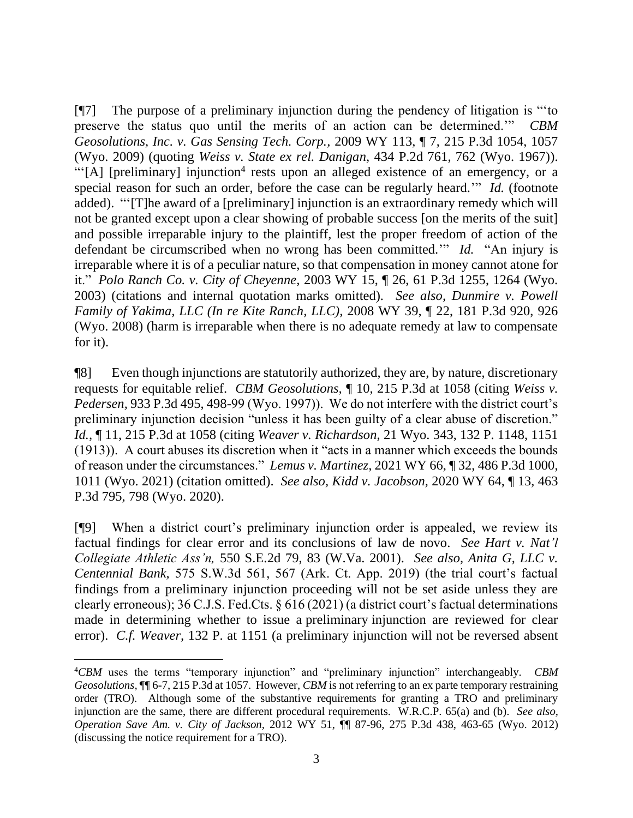[¶7] The purpose of a preliminary injunction during the pendency of litigation is "'to preserve the status quo until the merits of an action can be determined.'" *CBM Geosolutions, Inc. v. Gas Sensing Tech. Corp.,* 2009 WY 113, ¶ 7, 215 P.3d 1054, 1057 (Wyo. 2009) (quoting *Weiss v. State ex rel. Danigan,* 434 P.2d 761, 762 (Wyo. 1967)). "[A] [preliminary] injunction<sup>4</sup> rests upon an alleged existence of an emergency, or a special reason for such an order, before the case can be regularly heard.'" *Id.* (footnote added)."'[T]he award of a [preliminary] injunction is an extraordinary remedy which will not be granted except upon a clear showing of probable success [on the merits of the suit] and possible irreparable injury to the plaintiff, lest the proper freedom of action of the defendant be circumscribed when no wrong has been committed.'" *Id.* "An injury is irreparable where it is of a peculiar nature, so that compensation in money cannot atone for it." *Polo Ranch Co. v. City of Cheyenne,* 2003 WY 15, ¶ 26, 61 P.3d 1255, 1264 (Wyo. 2003) (citations and internal quotation marks omitted). *See also, Dunmire v. Powell Family of Yakima, LLC (In re Kite Ranch, LLC),* 2008 WY 39, ¶ 22, 181 P.3d 920, 926 (Wyo. 2008) (harm is irreparable when there is no adequate remedy at law to compensate for it).

¶8] Even though injunctions are statutorily authorized, they are, by nature, discretionary requests for equitable relief. *CBM Geosolutions,* ¶ 10, 215 P.3d at 1058 (citing *Weiss v. Pedersen,* 933 P.3d 495, 498-99 (Wyo. 1997)). We do not interfere with the district court's preliminary injunction decision "unless it has been guilty of a clear abuse of discretion." *Id.,* ¶ 11, 215 P.3d at 1058 (citing *Weaver v. Richardson,* 21 Wyo. 343, 132 P. 1148, 1151 (1913)). A court abuses its discretion when it "acts in a manner which exceeds the bounds of reason under the circumstances." *Lemus v. Martinez,* 2021 WY 66, ¶ 32, 486 P.3d 1000, 1011 (Wyo. 2021) (citation omitted). *See also, Kidd v. Jacobson,* 2020 WY 64, ¶ 13, 463 P.3d 795, 798 (Wyo. 2020).

[¶9] When a district court's preliminary injunction order is appealed, we review its factual findings for clear error and its conclusions of law de novo. *See Hart v. Nat'l Collegiate Athletic Ass'n,* 550 S.E.2d 79, 83 (W.Va. 2001). *See also, Anita G, LLC v. Centennial Bank,* 575 S.W.3d 561, 567 (Ark. Ct. App. 2019) (the trial court's factual findings from a preliminary injunction proceeding will not be set aside unless they are clearly erroneous); 36 C.J.S. Fed.Cts. § 616 (2021) (a district court's factual determinations made in determining whether to issue a preliminary injunction are reviewed for clear error). *C.f. Weaver,* 132 P. at 1151 (a preliminary injunction will not be reversed absent

<sup>4</sup>*CBM* uses the terms "temporary injunction" and "preliminary injunction" interchangeably. *CBM Geosolutions,* ¶¶ 6-7, 215 P.3d at 1057. However, *CBM* is not referring to an ex parte temporary restraining order (TRO). Although some of the substantive requirements for granting a TRO and preliminary injunction are the same, there are different procedural requirements. W.R.C.P. 65(a) and (b). *See also, Operation Save Am. v. City of Jackson,* 2012 WY 51, ¶¶ 87-96, 275 P.3d 438, 463-65 (Wyo. 2012) (discussing the notice requirement for a TRO).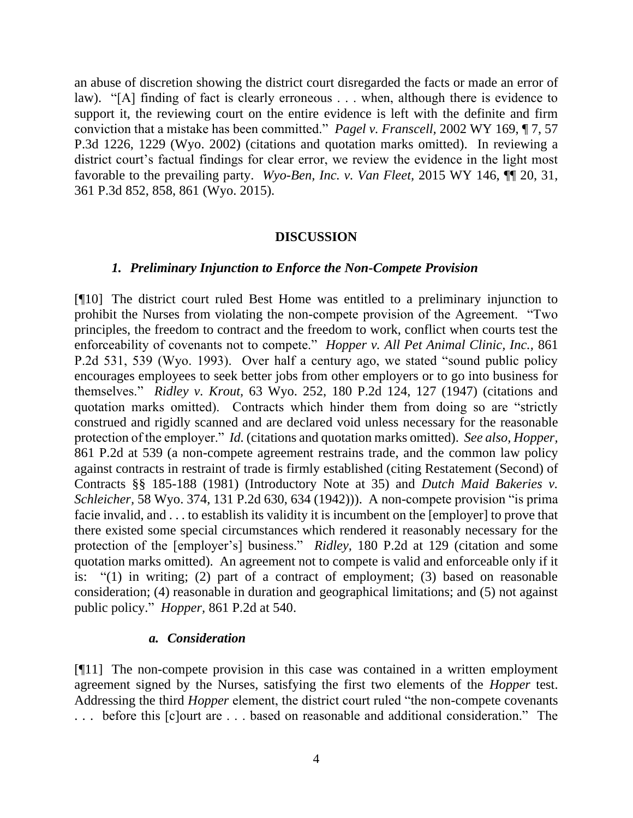an abuse of discretion showing the district court disregarded the facts or made an error of law). "[A] finding of fact is clearly erroneous . . . when, although there is evidence to support it, the reviewing court on the entire evidence is left with the definite and firm conviction that a mistake has been committed." *Pagel v. Franscell,* 2002 WY 169, ¶ 7, 57 P.3d 1226, 1229 (Wyo. 2002) (citations and quotation marks omitted). In reviewing a district court's factual findings for clear error, we review the evidence in the light most favorable to the prevailing party. *Wyo-Ben, Inc. v. Van Fleet,* 2015 WY 146, ¶¶ 20, 31, 361 P.3d 852, 858, 861 (Wyo. 2015).

#### **DISCUSSION**

#### *1. Preliminary Injunction to Enforce the Non-Compete Provision*

[¶10] The district court ruled Best Home was entitled to a preliminary injunction to prohibit the Nurses from violating the non-compete provision of the Agreement. "Two principles, the freedom to contract and the freedom to work, conflict when courts test the enforceability of covenants not to compete." *Hopper v. All Pet Animal Clinic, Inc.,* 861 P.2d 531, 539 (Wyo. 1993). Over half a century ago, we stated "sound public policy encourages employees to seek better jobs from other employers or to go into business for themselves." *Ridley v. Krout,* 63 Wyo. 252, 180 P.2d 124, 127 (1947) (citations and quotation marks omitted). Contracts which hinder them from doing so are "strictly construed and rigidly scanned and are declared void unless necessary for the reasonable protection of the employer." *Id.* (citations and quotation marks omitted). *See also, Hopper,*  861 P.2d at 539 (a non-compete agreement restrains trade, and the common law policy against contracts in restraint of trade is firmly established (citing Restatement (Second) of Contracts §§ 185-188 (1981) (Introductory Note at 35) and *Dutch Maid Bakeries v. Schleicher,* 58 Wyo. 374, 131 P.2d 630, 634 (1942))). A non-compete provision "is prima facie invalid, and . . . to establish its validity it is incumbent on the [employer] to prove that there existed some special circumstances which rendered it reasonably necessary for the protection of the [employer's] business." *Ridley,* 180 P.2d at 129 (citation and some quotation marks omitted). An agreement not to compete is valid and enforceable only if it is: "(1) in writing; (2) part of a contract of employment; (3) based on reasonable consideration; (4) reasonable in duration and geographical limitations; and (5) not against public policy." *Hopper,* 861 P.2d at 540.

#### *a. Consideration*

[¶11] The non-compete provision in this case was contained in a written employment agreement signed by the Nurses, satisfying the first two elements of the *Hopper* test. Addressing the third *Hopper* element, the district court ruled "the non-compete covenants . . . before this [c]ourt are . . . based on reasonable and additional consideration." The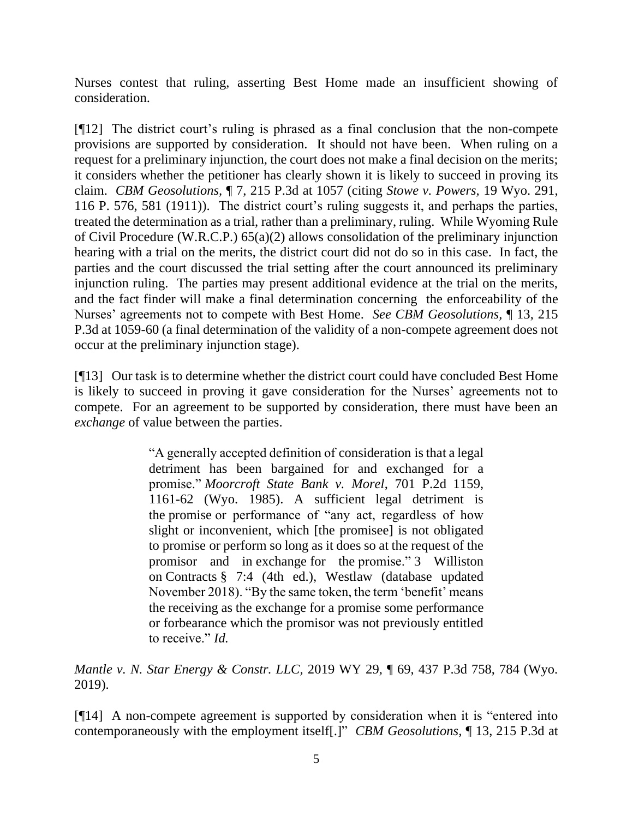Nurses contest that ruling, asserting Best Home made an insufficient showing of consideration.

[¶12] The district court's ruling is phrased as a final conclusion that the non-compete provisions are supported by consideration. It should not have been. When ruling on a request for a preliminary injunction, the court does not make a final decision on the merits; it considers whether the petitioner has clearly shown it is likely to succeed in proving its claim. *CBM Geosolutions,* ¶ 7, 215 P.3d at 1057 (citing *Stowe v. Powers,* 19 Wyo. 291, 116 P. 576, 581 (1911)). The district court's ruling suggests it, and perhaps the parties, treated the determination as a trial, rather than a preliminary, ruling. While Wyoming Rule of Civil Procedure (W.R.C.P.) 65(a)(2) allows consolidation of the preliminary injunction hearing with a trial on the merits, the district court did not do so in this case. In fact, the parties and the court discussed the trial setting after the court announced its preliminary injunction ruling. The parties may present additional evidence at the trial on the merits, and the fact finder will make a final determination concerning the enforceability of the Nurses' agreements not to compete with Best Home. *See CBM Geosolutions,* ¶ 13, 215 P.3d at 1059-60 (a final determination of the validity of a non-compete agreement does not occur at the preliminary injunction stage).

[¶13] Our task is to determine whether the district court could have concluded Best Home is likely to succeed in proving it gave consideration for the Nurses' agreements not to compete. For an agreement to be supported by consideration, there must have been an *exchange* of value between the parties.

> "A generally accepted definition of consideration is that a legal detriment has been bargained for and exchanged for a promise." *Moorcroft State Bank v. Morel*, 701 P.2d 1159, 1161-62 (Wyo. 1985). A sufficient legal detriment is the promise or performance of "any act, regardless of how slight or inconvenient, which [the promisee] is not obligated to promise or perform so long as it does so at the request of the promisor and in exchange for the promise." 3 Williston on Contracts § 7:4 (4th ed.), Westlaw (database updated November 2018). "By the same token, the term 'benefit' means the receiving as the exchange for a promise some performance or forbearance which the promisor was not previously entitled to receive." *Id.*

*Mantle v. N. Star Energy & Constr. LLC,* 2019 WY 29, ¶ 69, 437 P.3d 758, 784 (Wyo. 2019).

[¶14] A non-compete agreement is supported by consideration when it is "entered into contemporaneously with the employment itself[.]" *CBM Geosolutions,* ¶ 13, 215 P.3d at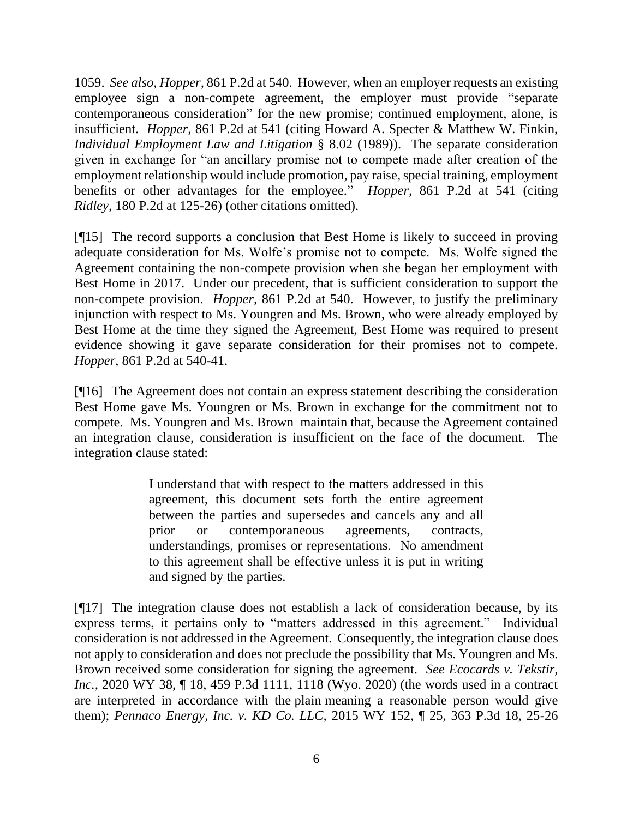1059. *See also, Hopper,* 861 P.2d at 540. However, when an employer requests an existing employee sign a non-compete agreement, the employer must provide "separate contemporaneous consideration" for the new promise; continued employment, alone, is insufficient. *Hopper,* 861 P.2d at 541 (citing Howard A. Specter & Matthew W. Finkin, *Individual Employment Law and Litigation* § 8.02 (1989)). The separate consideration given in exchange for "an ancillary promise not to compete made after creation of the employment relationship would include promotion, pay raise, special training, employment benefits or other advantages for the employee." *Hopper,* 861 P.2d at 541 (citing *Ridley,* 180 P.2d at 125-26) (other citations omitted).

[¶15] The record supports a conclusion that Best Home is likely to succeed in proving adequate consideration for Ms. Wolfe's promise not to compete. Ms. Wolfe signed the Agreement containing the non-compete provision when she began her employment with Best Home in 2017. Under our precedent*,* that is sufficient consideration to support the non-compete provision. *Hopper,* 861 P.2d at 540. However, to justify the preliminary injunction with respect to Ms. Youngren and Ms. Brown, who were already employed by Best Home at the time they signed the Agreement, Best Home was required to present evidence showing it gave separate consideration for their promises not to compete. *Hopper,* 861 P.2d at 540-41.

[¶16] The Agreement does not contain an express statement describing the consideration Best Home gave Ms. Youngren or Ms. Brown in exchange for the commitment not to compete. Ms. Youngren and Ms. Brown maintain that, because the Agreement contained an integration clause, consideration is insufficient on the face of the document. The integration clause stated:

> I understand that with respect to the matters addressed in this agreement, this document sets forth the entire agreement between the parties and supersedes and cancels any and all prior or contemporaneous agreements, contracts, understandings, promises or representations. No amendment to this agreement shall be effective unless it is put in writing and signed by the parties.

[¶17] The integration clause does not establish a lack of consideration because, by its express terms, it pertains only to "matters addressed in this agreement." Individual consideration is not addressed in the Agreement. Consequently, the integration clause does not apply to consideration and does not preclude the possibility that Ms. Youngren and Ms. Brown received some consideration for signing the agreement. *See Ecocards v. Tekstir, Inc.*, 2020 WY 38, ¶ 18, 459 P.3d 1111, 1118 (Wyo. 2020) (the words used in a contract are interpreted in accordance with the plain meaning a reasonable person would give them); *Pennaco Energy, Inc. v. KD Co. LLC,* 2015 WY 152, ¶ 25, 363 P.3d 18, 25-26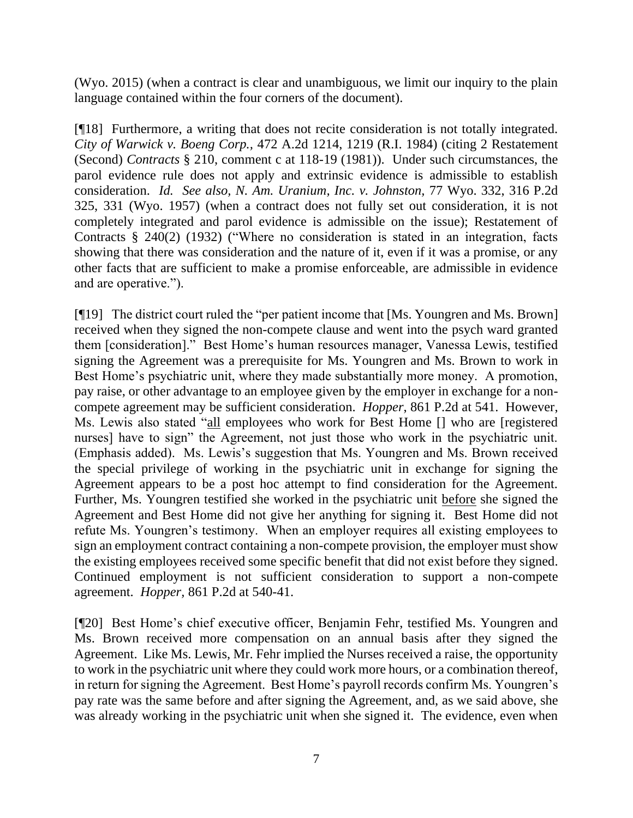(Wyo. 2015) (when a contract is clear and unambiguous, we limit our inquiry to the plain language contained within the four corners of the document).

[¶18] Furthermore, a writing that does not recite consideration is not totally integrated. *City of Warwick v. Boeng Corp.,* 472 A.2d 1214, 1219 (R.I. 1984) (citing 2 Restatement (Second) *Contracts* § 210, comment c at 118-19 (1981)). Under such circumstances, the parol evidence rule does not apply and extrinsic evidence is admissible to establish consideration. *Id. See also, N. Am. Uranium, Inc. v. Johnston,* 77 Wyo. 332, 316 P.2d 325, 331 (Wyo. 1957) (when a contract does not fully set out consideration, it is not completely integrated and parol evidence is admissible on the issue); Restatement of Contracts § 240(2) (1932) ("Where no consideration is stated in an integration, facts showing that there was consideration and the nature of it, even if it was a promise, or any other facts that are sufficient to make a promise enforceable, are admissible in evidence and are operative.").

[¶19] The district court ruled the "per patient income that [Ms. Youngren and Ms. Brown] received when they signed the non-compete clause and went into the psych ward granted them [consideration]." Best Home's human resources manager, Vanessa Lewis, testified signing the Agreement was a prerequisite for Ms. Youngren and Ms. Brown to work in Best Home's psychiatric unit, where they made substantially more money. A promotion, pay raise, or other advantage to an employee given by the employer in exchange for a noncompete agreement may be sufficient consideration. *Hopper*, 861 P.2d at 541. However, Ms. Lewis also stated "all employees who work for Best Home [] who are [registered nurses] have to sign" the Agreement, not just those who work in the psychiatric unit. (Emphasis added). Ms. Lewis's suggestion that Ms. Youngren and Ms. Brown received the special privilege of working in the psychiatric unit in exchange for signing the Agreement appears to be a post hoc attempt to find consideration for the Agreement. Further, Ms. Youngren testified she worked in the psychiatric unit before she signed the Agreement and Best Home did not give her anything for signing it. Best Home did not refute Ms. Youngren's testimony. When an employer requires all existing employees to sign an employment contract containing a non-compete provision, the employer must show the existing employees received some specific benefit that did not exist before they signed. Continued employment is not sufficient consideration to support a non-compete agreement. *Hopper,* 861 P.2d at 540-41.

[¶20] Best Home's chief executive officer, Benjamin Fehr, testified Ms. Youngren and Ms. Brown received more compensation on an annual basis after they signed the Agreement. Like Ms. Lewis, Mr. Fehr implied the Nurses received a raise, the opportunity to work in the psychiatric unit where they could work more hours, or a combination thereof, in return for signing the Agreement. Best Home's payroll records confirm Ms. Youngren's pay rate was the same before and after signing the Agreement, and, as we said above, she was already working in the psychiatric unit when she signed it. The evidence, even when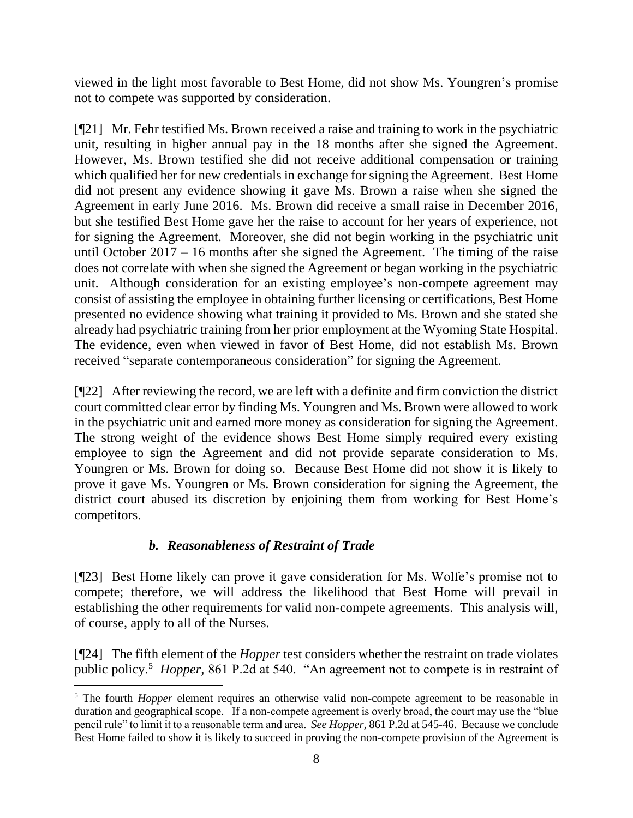viewed in the light most favorable to Best Home, did not show Ms. Youngren's promise not to compete was supported by consideration.

[¶21] Mr. Fehr testified Ms. Brown received a raise and training to work in the psychiatric unit, resulting in higher annual pay in the 18 months after she signed the Agreement. However, Ms. Brown testified she did not receive additional compensation or training which qualified her for new credentials in exchange for signing the Agreement. Best Home did not present any evidence showing it gave Ms. Brown a raise when she signed the Agreement in early June 2016. Ms. Brown did receive a small raise in December 2016, but she testified Best Home gave her the raise to account for her years of experience, not for signing the Agreement. Moreover, she did not begin working in the psychiatric unit until October 2017 – 16 months after she signed the Agreement. The timing of the raise does not correlate with when she signed the Agreement or began working in the psychiatric unit. Although consideration for an existing employee's non-compete agreement may consist of assisting the employee in obtaining further licensing or certifications, Best Home presented no evidence showing what training it provided to Ms. Brown and she stated she already had psychiatric training from her prior employment at the Wyoming State Hospital. The evidence, even when viewed in favor of Best Home, did not establish Ms. Brown received "separate contemporaneous consideration" for signing the Agreement.

[¶22] After reviewing the record, we are left with a definite and firm conviction the district court committed clear error by finding Ms. Youngren and Ms. Brown were allowed to work in the psychiatric unit and earned more money as consideration for signing the Agreement. The strong weight of the evidence shows Best Home simply required every existing employee to sign the Agreement and did not provide separate consideration to Ms. Youngren or Ms. Brown for doing so. Because Best Home did not show it is likely to prove it gave Ms. Youngren or Ms. Brown consideration for signing the Agreement, the district court abused its discretion by enjoining them from working for Best Home's competitors.

# *b. Reasonableness of Restraint of Trade*

[¶23] Best Home likely can prove it gave consideration for Ms. Wolfe's promise not to compete; therefore, we will address the likelihood that Best Home will prevail in establishing the other requirements for valid non-compete agreements. This analysis will, of course, apply to all of the Nurses.

[¶24] The fifth element of the *Hopper* test considers whether the restraint on trade violates public policy.<sup>5</sup> Hopper, 861 P.2d at 540. "An agreement not to compete is in restraint of

<sup>&</sup>lt;sup>5</sup> The fourth *Hopper* element requires an otherwise valid non-compete agreement to be reasonable in duration and geographical scope. If a non-compete agreement is overly broad, the court may use the "blue pencil rule" to limit it to a reasonable term and area. *See Hopper,* 861 P.2d at 545-46. Because we conclude Best Home failed to show it is likely to succeed in proving the non-compete provision of the Agreement is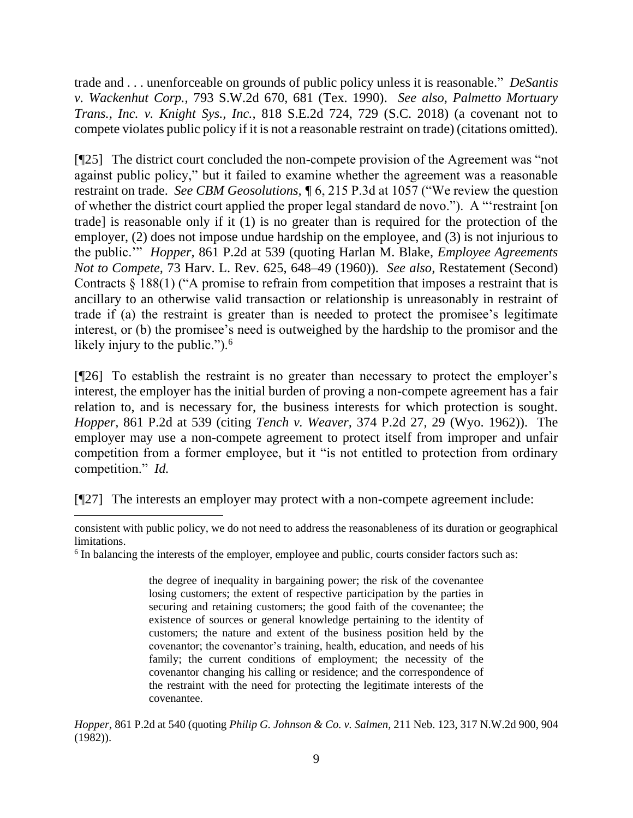trade and . . . unenforceable on grounds of public policy unless it is reasonable." *DeSantis v. Wackenhut Corp.,* 793 S.W.2d 670, 681 (Tex. 1990). *See also, Palmetto Mortuary Trans., Inc. v. Knight Sys., Inc.,* 818 S.E.2d 724, 729 (S.C. 2018) (a covenant not to compete violates public policy if it is not a reasonable restraint on trade) (citations omitted).

[¶25] The district court concluded the non-compete provision of the Agreement was "not against public policy," but it failed to examine whether the agreement was a reasonable restraint on trade. *See CBM Geosolutions, ¶* 6, 215 P.3d at 1057 ("We review the question of whether the district court applied the proper legal standard de novo."). A "'restraint [on trade] is reasonable only if it (1) is no greater than is required for the protection of the employer, (2) does not impose undue hardship on the employee, and (3) is not injurious to the public.'" *Hopper,* 861 P.2d at 539 (quoting Harlan M. Blake, *Employee Agreements Not to Compete,* 73 Harv. L. Rev. 625, 648–49 (1960)). *See also,* Restatement (Second) Contracts § 188(1) ("A promise to refrain from competition that imposes a restraint that is ancillary to an otherwise valid transaction or relationship is unreasonably in restraint of trade if (a) the restraint is greater than is needed to protect the promisee's legitimate interest, or (b) the promisee's need is outweighed by the hardship to the promisor and the likely injury to the public.").<sup>6</sup>

[¶26] To establish the restraint is no greater than necessary to protect the employer's interest, the employer has the initial burden of proving a non-compete agreement has a fair relation to, and is necessary for, the business interests for which protection is sought. *Hopper,* 861 P.2d at 539 (citing *Tench v. Weaver,* 374 P.2d 27, 29 (Wyo. 1962)). The employer may use a non-compete agreement to protect itself from improper and unfair competition from a former employee, but it "is not entitled to protection from ordinary competition." *Id.* 

[¶27] The interests an employer may protect with a non-compete agreement include:

the degree of inequality in bargaining power; the risk of the covenantee losing customers; the extent of respective participation by the parties in securing and retaining customers; the good faith of the covenantee; the existence of sources or general knowledge pertaining to the identity of customers; the nature and extent of the business position held by the covenantor; the covenantor's training, health, education, and needs of his family; the current conditions of employment; the necessity of the covenantor changing his calling or residence; and the correspondence of the restraint with the need for protecting the legitimate interests of the covenantee.

*Hopper,* 861 P.2d at 540 (quoting *Philip G. Johnson & Co. v. Salmen,* 211 Neb. 123, 317 N.W.2d 900, 904 (1982)).

consistent with public policy, we do not need to address the reasonableness of its duration or geographical limitations.

<sup>&</sup>lt;sup>6</sup> In balancing the interests of the employer, employee and public, courts consider factors such as: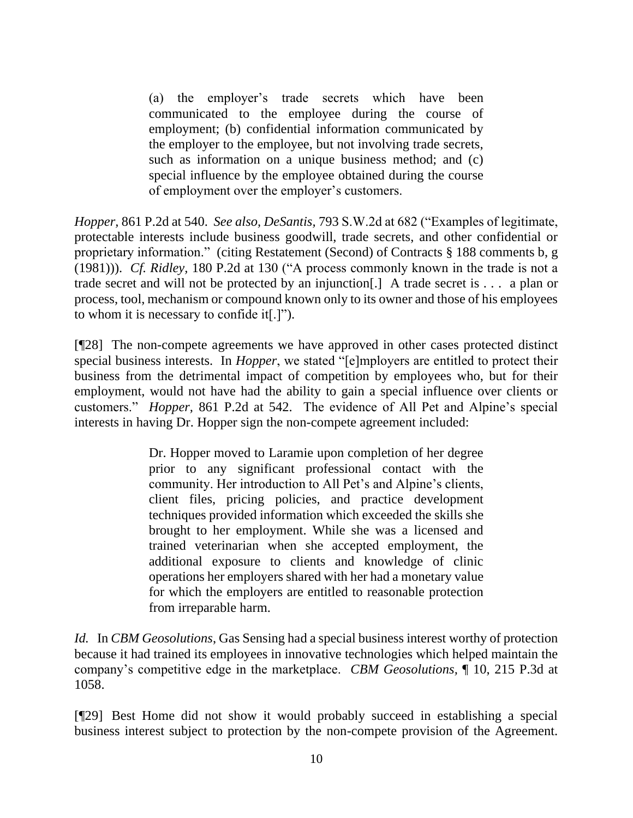(a) the employer's trade secrets which have been communicated to the employee during the course of employment; (b) confidential information communicated by the employer to the employee, but not involving trade secrets, such as information on a unique business method; and (c) special influence by the employee obtained during the course of employment over the employer's customers.

*Hopper,* 861 P.2d at 540. *See also, DeSantis,* 793 S.W.2d at 682 ("Examples of legitimate, protectable interests include business goodwill, trade secrets, and other confidential or proprietary information." (citing Restatement (Second) of Contracts § 188 comments b, g (1981))). *Cf. Ridley,* 180 P.2d at 130 ("A process commonly known in the trade is not a trade secret and will not be protected by an injunction[.] A trade secret is . . . a plan or process, tool, mechanism or compound known only to its owner and those of his employees to whom it is necessary to confide it[.]").

[¶28] The non-compete agreements we have approved in other cases protected distinct special business interests. In *Hopper*, we stated "[e]mployers are entitled to protect their business from the detrimental impact of competition by employees who, but for their employment, would not have had the ability to gain a special influence over clients or customers." *Hopper,* 861 P.2d at 542.The evidence of All Pet and Alpine's special interests in having Dr. Hopper sign the non-compete agreement included:

> Dr. Hopper moved to Laramie upon completion of her degree prior to any significant professional contact with the community. Her introduction to All Pet's and Alpine's clients, client files, pricing policies, and practice development techniques provided information which exceeded the skills she brought to her employment. While she was a licensed and trained veterinarian when she accepted employment, the additional exposure to clients and knowledge of clinic operations her employers shared with her had a monetary value for which the employers are entitled to reasonable protection from irreparable harm.

*Id.* In *CBM Geosolutions*, Gas Sensing had a special business interest worthy of protection because it had trained its employees in innovative technologies which helped maintain the company's competitive edge in the marketplace. *CBM Geosolutions,* ¶ 10, 215 P.3d at 1058.

[¶29] Best Home did not show it would probably succeed in establishing a special business interest subject to protection by the non-compete provision of the Agreement.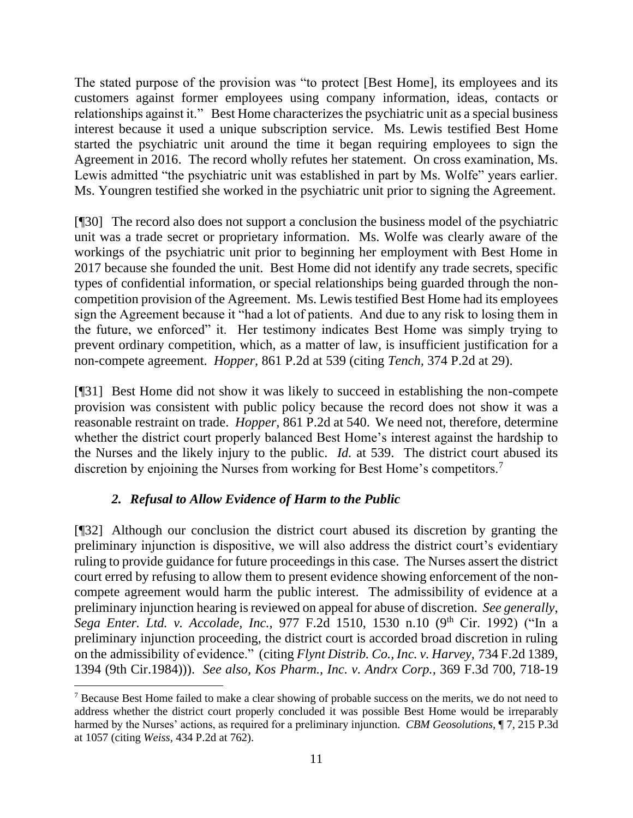The stated purpose of the provision was "to protect [Best Home], its employees and its customers against former employees using company information, ideas, contacts or relationships against it." Best Home characterizes the psychiatric unit as a special business interest because it used a unique subscription service. Ms. Lewis testified Best Home started the psychiatric unit around the time it began requiring employees to sign the Agreement in 2016. The record wholly refutes her statement. On cross examination, Ms. Lewis admitted "the psychiatric unit was established in part by Ms. Wolfe" years earlier. Ms. Youngren testified she worked in the psychiatric unit prior to signing the Agreement.

[¶30] The record also does not support a conclusion the business model of the psychiatric unit was a trade secret or proprietary information. Ms. Wolfe was clearly aware of the workings of the psychiatric unit prior to beginning her employment with Best Home in 2017 because she founded the unit. Best Home did not identify any trade secrets, specific types of confidential information, or special relationships being guarded through the noncompetition provision of the Agreement. Ms. Lewis testified Best Home had its employees sign the Agreement because it "had a lot of patients. And due to any risk to losing them in the future, we enforced" it. Her testimony indicates Best Home was simply trying to prevent ordinary competition, which, as a matter of law, is insufficient justification for a non-compete agreement. *Hopper,* 861 P.2d at 539 (citing *Tench,* 374 P.2d at 29).

[¶31] Best Home did not show it was likely to succeed in establishing the non-compete provision was consistent with public policy because the record does not show it was a reasonable restraint on trade. *Hopper,* 861 P.2d at 540. We need not, therefore, determine whether the district court properly balanced Best Home's interest against the hardship to the Nurses and the likely injury to the public. *Id.* at 539. The district court abused its discretion by enjoining the Nurses from working for Best Home's competitors.<sup>7</sup>

# *2. Refusal to Allow Evidence of Harm to the Public*

[¶32] Although our conclusion the district court abused its discretion by granting the preliminary injunction is dispositive, we will also address the district court's evidentiary ruling to provide guidance for future proceedings in this case. The Nurses assert the district court erred by refusing to allow them to present evidence showing enforcement of the noncompete agreement would harm the public interest. The admissibility of evidence at a preliminary injunction hearing is reviewed on appeal for abuse of discretion. *See generally*, *Sega Enter. Ltd. v. Accolade, Inc.,* 977 F.2d 1510, 1530 n.10 (9th Cir. 1992) ("In a preliminary injunction proceeding, the district court is accorded broad discretion in ruling on the admissibility of evidence." (citing *Flynt Distrib. Co., Inc. v. Harvey,* 734 F.2d 1389, 1394 (9th Cir.1984))). *See also, Kos Pharm., Inc. v. Andrx Corp.,* 369 F.3d 700, 718-19

<sup>7</sup> Because Best Home failed to make a clear showing of probable success on the merits, we do not need to address whether the district court properly concluded it was possible Best Home would be irreparably harmed by the Nurses' actions, as required for a preliminary injunction. *CBM Geosolutions,* ¶ 7, 215 P.3d at 1057 (citing *Weiss,* 434 P.2d at 762).